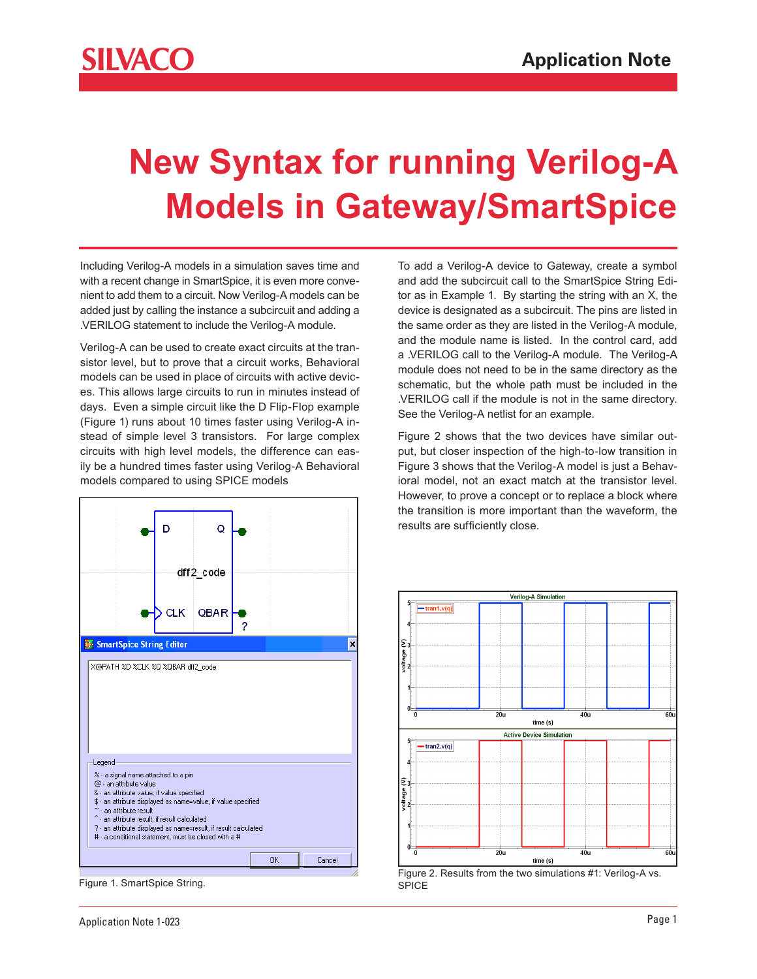## **New Syntax for running Verilog-A Models in Gateway/SmartSpice**

Including Verilog-A models in a simulation saves time and with a recent change in SmartSpice, it is even more convenient to add them to a circuit. Now Verilog-A models can be added just by calling the instance a subcircuit and adding a .VERILOG statement to include the Verilog-A module.

Verilog-A can be used to create exact circuits at the transistor level, but to prove that a circuit works, Behavioral models can be used in place of circuits with active devices. This allows large circuits to run in minutes instead of days. Even a simple circuit like the D Flip-Flop example (Figure 1) runs about 10 times faster using Verilog-A instead of simple level 3 transistors. For large complex circuits with high level models, the difference can easily be a hundred times faster using Verilog-A Behavioral models compared to using SPICE models



Figure 1. SmartSpice String.

To add a Verilog-A device to Gateway, create a symbol and add the subcircuit call to the SmartSpice String Editor as in Example 1. By starting the string with an X, the device is designated as a subcircuit. The pins are listed in the same order as they are listed in the Verilog-A module, and the module name is listed. In the control card, add a .VERILOG call to the Verilog-A module. The Verilog-A module does not need to be in the same directory as the schematic, but the whole path must be included in the .VERILOG call if the module is not in the same directory. See the Verilog-A netlist for an example.

Figure 2 shows that the two devices have similar output, but closer inspection of the high-to-low transition in Figure 3 shows that the Verilog-A model is just a Behavioral model, not an exact match at the transistor level. However, to prove a concept or to replace a block where the transition is more important than the waveform, the results are sufficiently close.



Figure 2. Results from the two simulations #1: Verilog-A vs. SPICE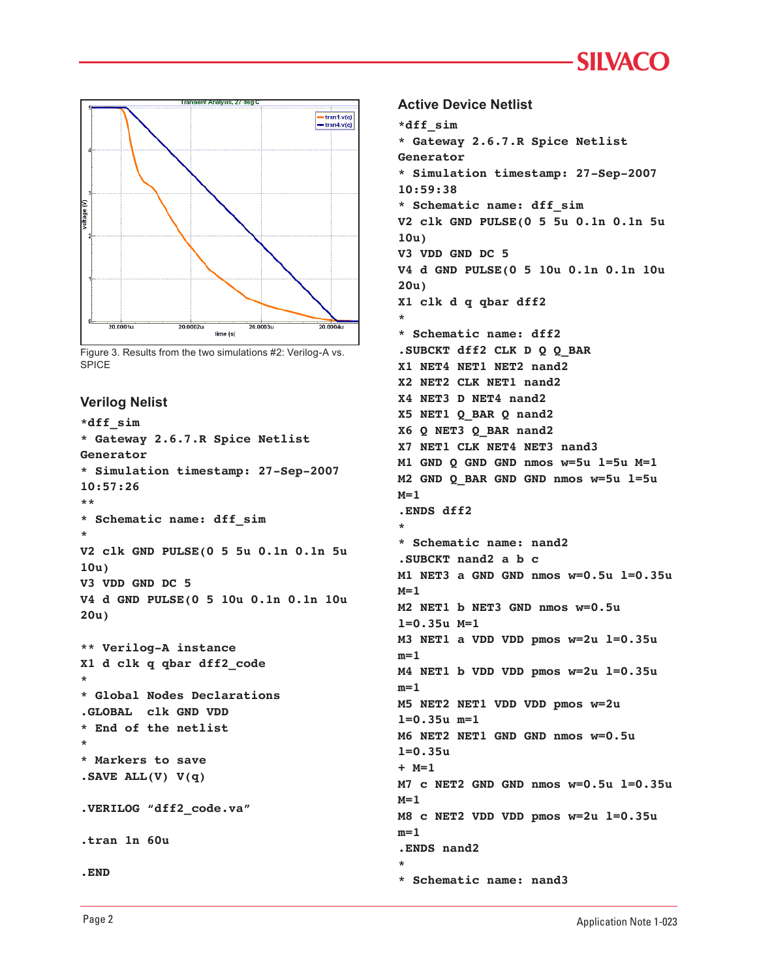```
SIIVACC
```


Figure 3. Results from the two simulations #2: Verilog-A vs. SPICE

## **Verilog Nelist**

```
*dff_sim
* Gateway 2.6.7.R Spice Netlist 
Generator
* Simulation timestamp: 27-Sep-2007 
10:57:26
**
* Schematic name: dff_sim
*
V2 clk GND PULSE(0 5 5u 0.1n 0.1n 5u 
10u)
V3 VDD GND DC 5
V4 d GND PULSE(0 5 10u 0.1n 0.1n 10u 
20u)
** Verilog-A instance
X1 d clk q qbar dff2_code
*
* Global Nodes Declarations
.GLOBAL clk GND VDD
* End of the netlist
*
* Markers to save
.SAVE ALL(V) V(q)
.VERILOG "dff2_code.va"
```

```
.tran 1n 60u
```

```
.END
```
**Active Device Netlist**

```
*dff_sim
* Gateway 2.6.7.R Spice Netlist 
Generator
* Simulation timestamp: 27-Sep-2007 
10:59:38
* Schematic name: dff_sim
V2 clk GND PULSE(0 5 5u 0.1n 0.1n 5u 
10u)
V3 VDD GND DC 5
V4 d GND PULSE(0 5 10u 0.1n 0.1n 10u 
20u)
X1 clk d q qbar dff2
*
* Schematic name: dff2
.SUBCKT dff2 CLK D Q Q_BAR
X1 NET4 NET1 NET2 nand2
X2 NET2 CLK NET1 nand2
X4 NET3 D NET4 nand2
X5 NET1 Q_BAR Q nand2
X6 Q NET3 Q_BAR nand2
X7 NET1 CLK NET4 NET3 nand3
M1 GND Q GND GND nmos w=5u l=5u M=1
M2 GND Q_BAR GND GND nmos w=5u l=5u 
M=1
.ENDS dff2
*
* Schematic name: nand2
.SUBCKT nand2 a b c
M1 NET3 a GND GND nmos w=0.5u l=0.35u 
M=1
M2 NET1 b NET3 GND nmos w=0.5u 
l=0.35u M=1
M3 NET1 a VDD VDD pmos w=2u l=0.35u 
m=1
M4 NET1 b VDD VDD pmos w=2u l=0.35u 
m=1
M5 NET2 NET1 VDD VDD pmos w=2u 
l=0.35u m=1
M6 NET2 NET1 GND GND nmos w=0.5u 
l=0.35u 
+ M=1
M7 c NET2 GND GND nmos w=0.5u l=0.35u 
M=1
M8 c NET2 VDD VDD pmos w=2u l=0.35u 
m=1
.ENDS nand2
*
* Schematic name: nand3
```